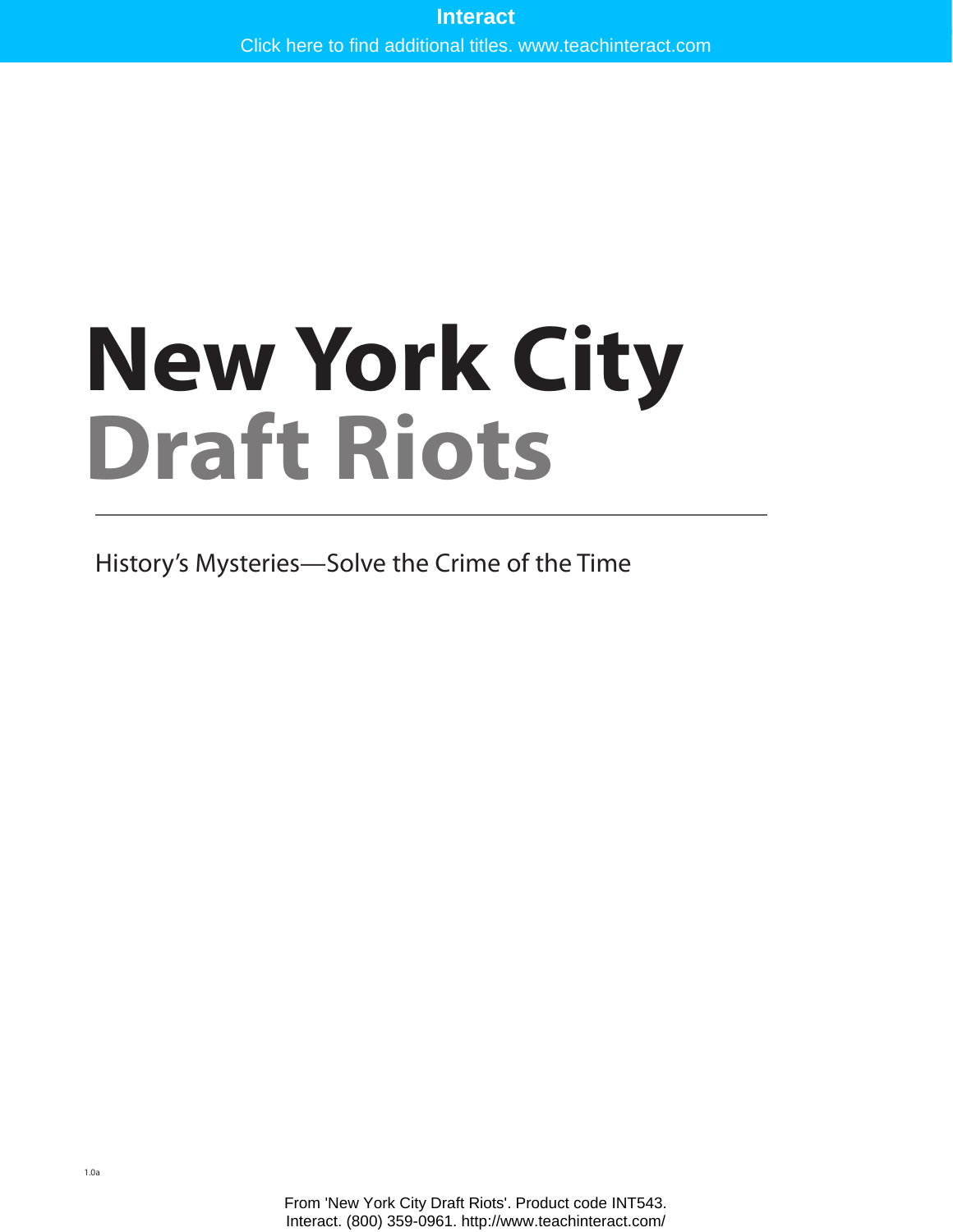# **New York City Draft Riots** Interact<br>Interact.<br>
Interact. (800) 359-0961. http://www.teachinteract.com/<br>
Interact. (800) 359-0961. http://www.teachinteract.com/<br>
Interact. (800) 359-0961. http://www.teachinteract.com/

History's Mysteries—Solve the Crime of the Time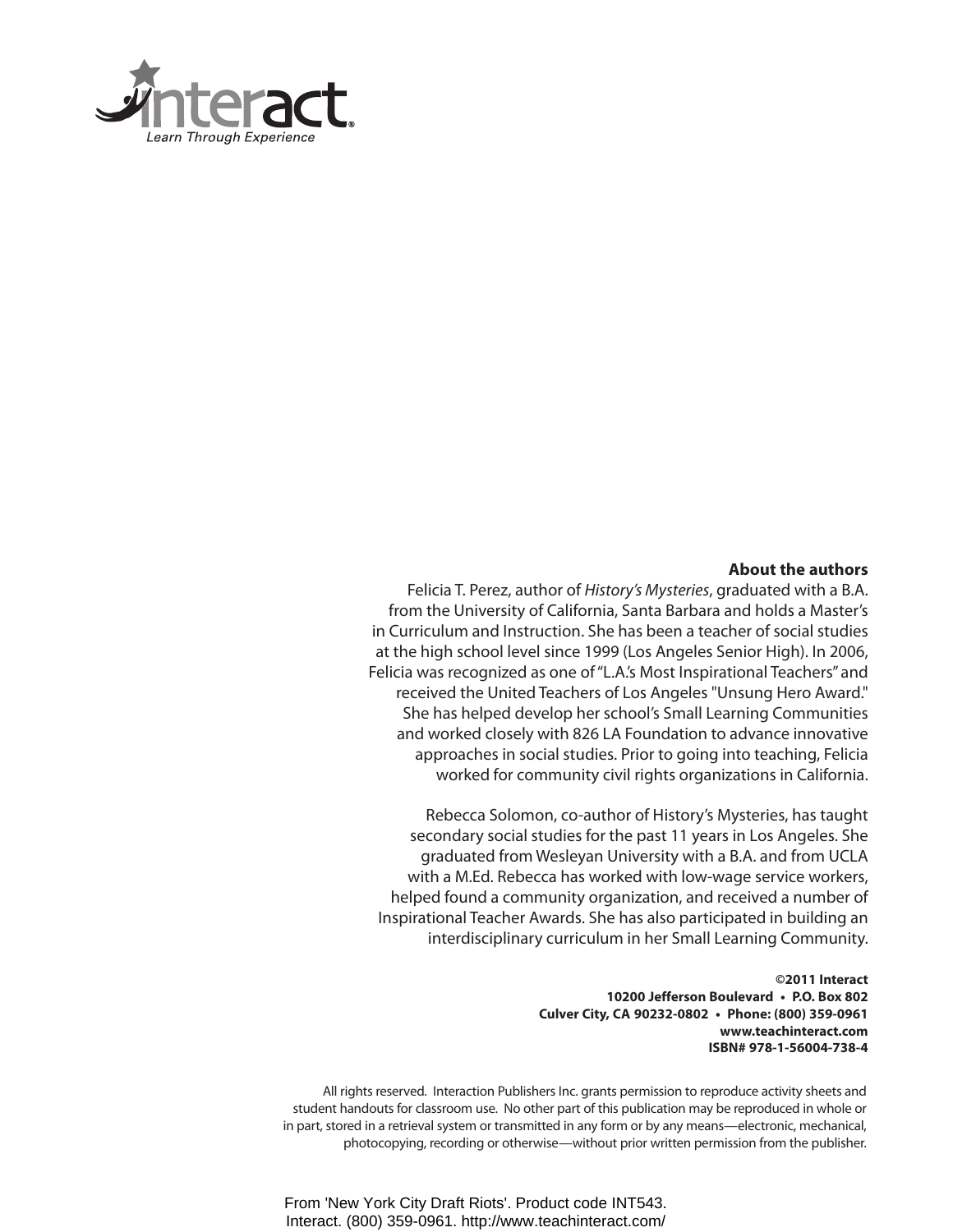

### **About the authors**

Felicia T. Perez, author of *History's Mysteries*, graduated with a B.A. from the University of California, Santa Barbara and holds a Master's in Curriculum and Instruction. She has been a teacher of social studies at the high school level since 1999 (Los Angeles Senior High). In 2006, Felicia was recognized as one of "L.A.'s Most Inspirational Teachers" and received the United Teachers of Los Angeles "Unsung Hero Award." She has helped develop her school's Small Learning Communities and worked closely with 826 LA Foundation to advance innovative approaches in social studies. Prior to going into teaching, Felicia worked for community civil rights organizations in California.

Rebecca Solomon, co-author of History's Mysteries, has taught secondary social studies for the past 11 years in Los Angeles. She graduated from Wesleyan University with a B.A. and from UCLA with a M.Ed. Rebecca has worked with low-wage service workers, helped found a community organization, and received a number of Inspirational Teacher Awards. She has also participated in building an interdisciplinary curriculum in her Small Learning Community.

> **©2011 Interact 10200 Jefferson Boulevard • P.O. Box 802 Culver City, CA 90232-0802 • Phone: (800) 359-0961 www.teachinteract.com ISBN# 978-1-56004-738-4**

All rights reserved. Interaction Publishers Inc. grants permission to reproduce activity sheets and student handouts for classroom use. No other part of this publication may be reproduced in whole or in part, stored in a retrieval system or transmitted in any form or by any means—electronic, mechanical, photocopying, recording or otherwise—without prior written permission from the publisher.

From 'New York City Draft Riots'. Product code INT543. Interact. (800) 359-0961. http://www.teachinteract.com/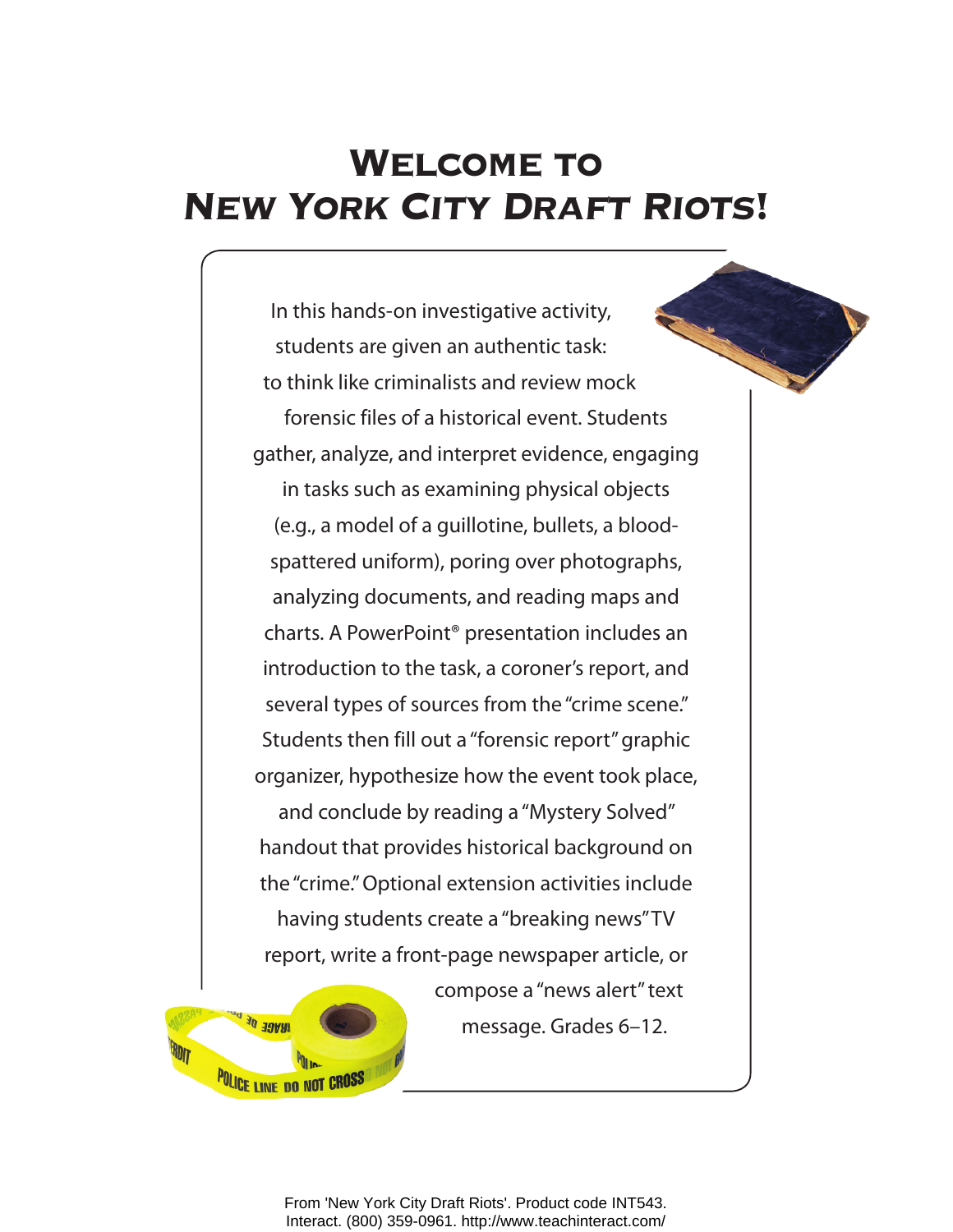# WELCOME TO **NEW YORK CITY DRAFT RIOTS!**

In this hands-on investigative activity, students are given an authentic task: to think like criminalists and review mock forensic files of a historical event. Students gather, analyze, and interpret evidence, engaging in tasks such as examining physical objects (e.g., a model of a guillotine, bullets, a bloodspattered uniform), poring over photographs, analyzing documents, and reading maps and charts. A PowerPoint® presentation includes an introduction to the task, a coroner's report, and several types of sources from the "crime scene." Students then fill out a "forensic report" graphic organizer, hypothesize how the event took place, and conclude by reading a "Mystery Solved" handout that provides historical background on the "crime." Optional extension activities include having students create a "breaking news" TV report, write a front-page newspaper article, or



compose a "news alert" text message. Grades 6–12.

From 'New York City Draft Riots'. Product code INT543. Interact. (800) 359-0961. http://www.teachinteract.com/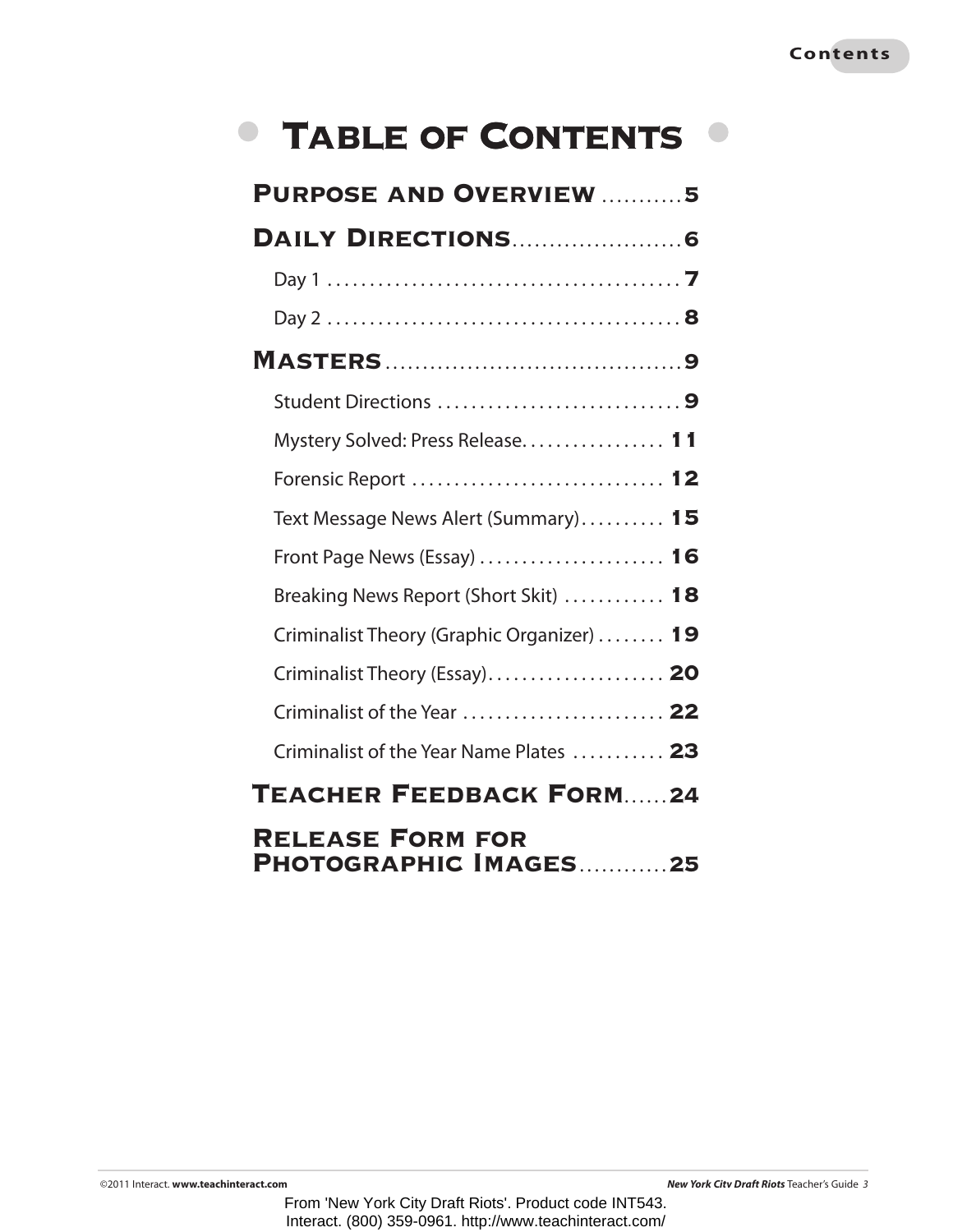# TABLE OF CONTENTS <sup>®</sup>

 $\begin{array}{c} \bullet \\ \bullet \end{array}$ 

| <b>PURPOSE AND OVERVIEW 5</b>                               |
|-------------------------------------------------------------|
|                                                             |
|                                                             |
|                                                             |
|                                                             |
| Student Directions 9                                        |
| Mystery Solved: Press Release 11                            |
| Forensic Report  12                                         |
| Text Message News Alert (Summary) 15                        |
| Front Page News (Essay) $\dots\dots\dots\dots\dots\dots$ 16 |
| Breaking News Report (Short Skit)  18                       |
| Criminalist Theory (Graphic Organizer)  19                  |
| Criminalist Theory (Essay) 20                               |
| Criminalist of the Year  22                                 |
| Criminalist of the Year Name Plates  23                     |
| <b>TEACHER FEEDBACK FORM24</b>                              |
| <b>RELEASE FORM FOR</b><br>PHOTOGRAPHIC IMAGES25            |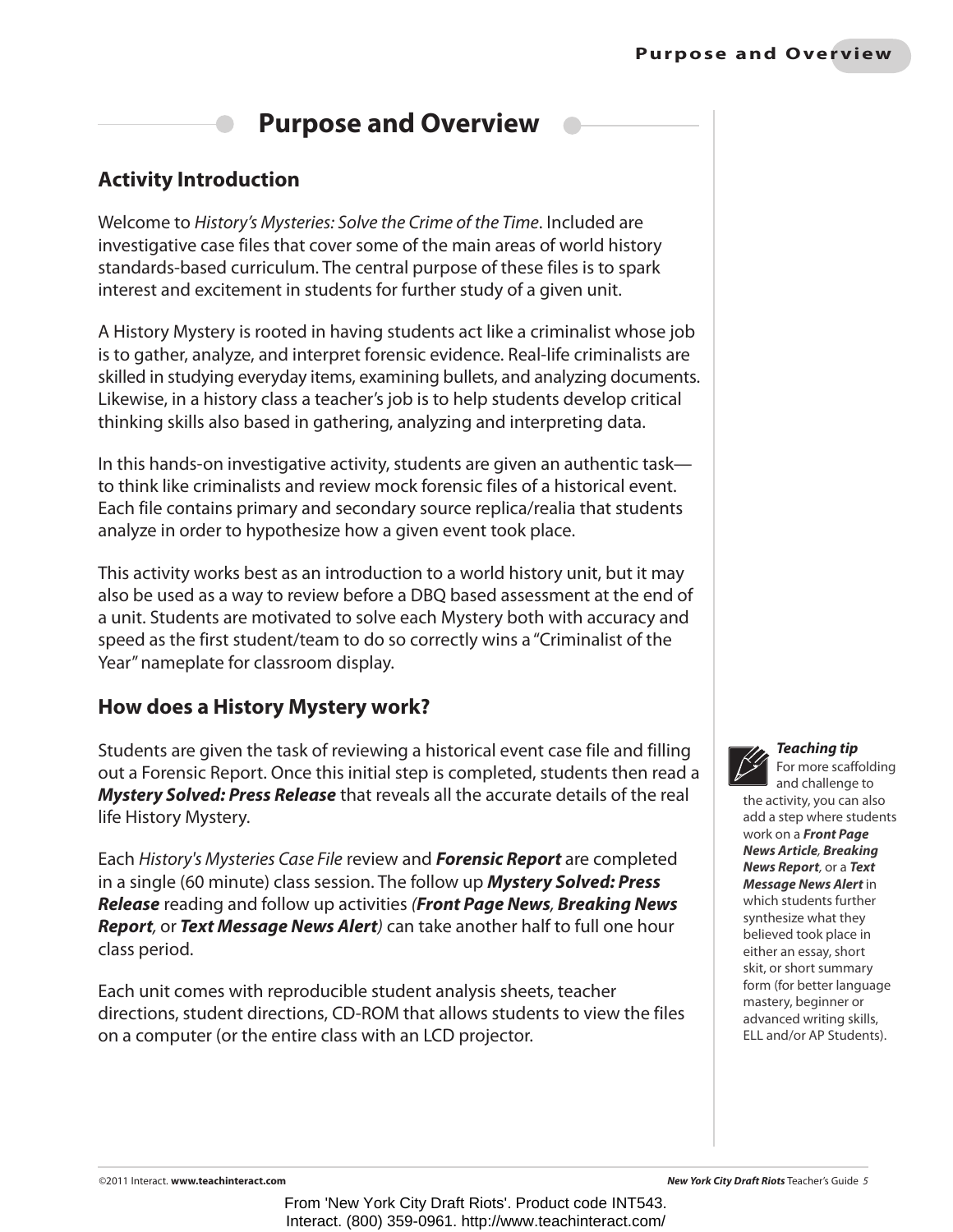### **Purpose and Overview**

### **Activity Introduction**

Welcome to *History's Mysteries: Solve the Crime of the Time*. Included are investigative case files that cover some of the main areas of world history standards-based curriculum. The central purpose of these files is to spark interest and excitement in students for further study of a given unit.

A History Mystery is rooted in having students act like a criminalist whose job is to gather, analyze, and interpret forensic evidence. Real-life criminalists are skilled in studying everyday items, examining bullets, and analyzing documents. Likewise, in a history class a teacher's job is to help students develop critical thinking skills also based in gathering, analyzing and interpreting data.

In this hands-on investigative activity, students are given an authentic task to think like criminalists and review mock forensic files of a historical event. Each file contains primary and secondary source replica/realia that students analyze in order to hypothesize how a given event took place.

This activity works best as an introduction to a world history unit, but it may also be used as a way to review before a DBQ based assessment at the end of a unit. Students are motivated to solve each Mystery both with accuracy and speed as the first student/team to do so correctly wins a "Criminalist of the Year" nameplate for classroom display.

### **How does a History Mystery work?**

Students are given the task of reviewing a historical event case file and filling out a Forensic Report. Once this initial step is completed, students then read a *Mystery Solved: Press Release* that reveals all the accurate details of the real life History Mystery.

Each *History's Mysteries Case File* review and *Forensic Report* are completed in a single (60 minute) class session. The follow up *Mystery Solved: Press Release* reading and follow up activities *(Front Page News, Breaking News Report,* or *Text Message News Alert)* can take another half to full one hour class period.

Each unit comes with reproducible student analysis sheets, teacher directions, student directions, CD-ROM that allows students to view the files on a computer (or the entire class with an LCD projector.



### *Teaching tip*

For more scaffolding and challenge to the activity, you can also add a step where students work on a *Front Page News Article, Breaking News Report,* or a *Text Message News Alert* in which students further synthesize what they believed took place in either an essay, short skit, or short summary form (for better language mastery, beginner or advanced writing skills, ELL and/or AP Students).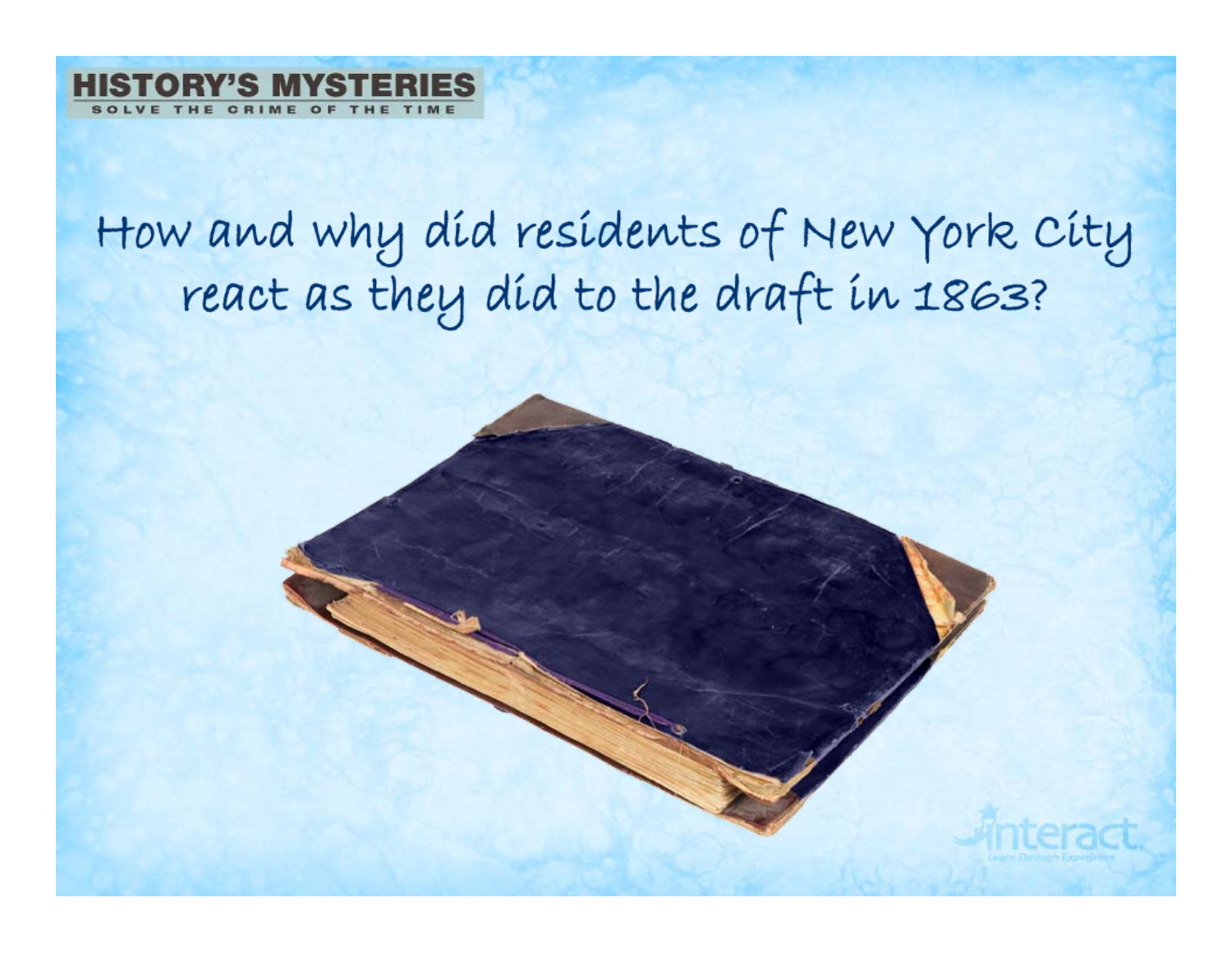

# How and why díd resídents of New York City<br>react as they díd to the draft in 1863?

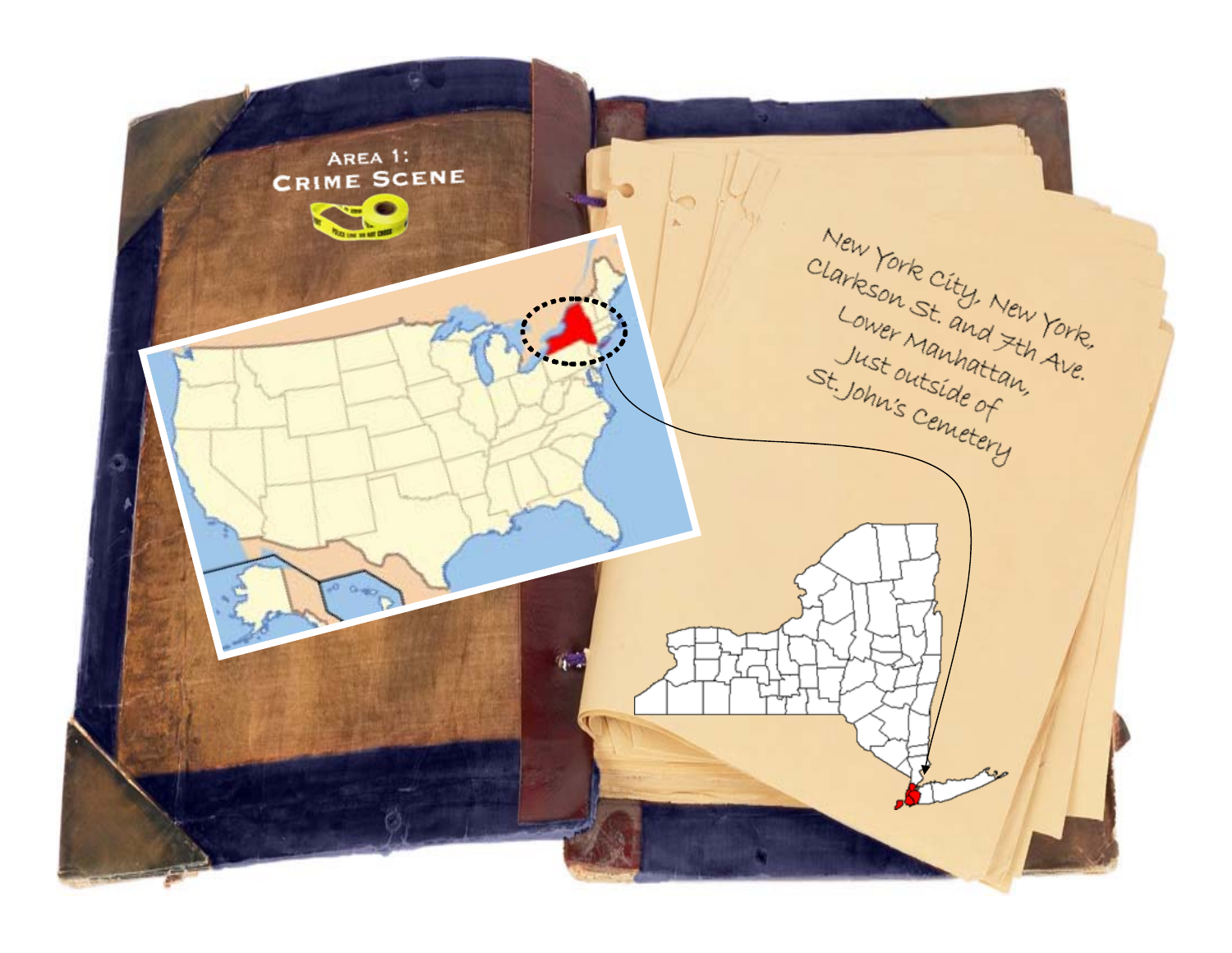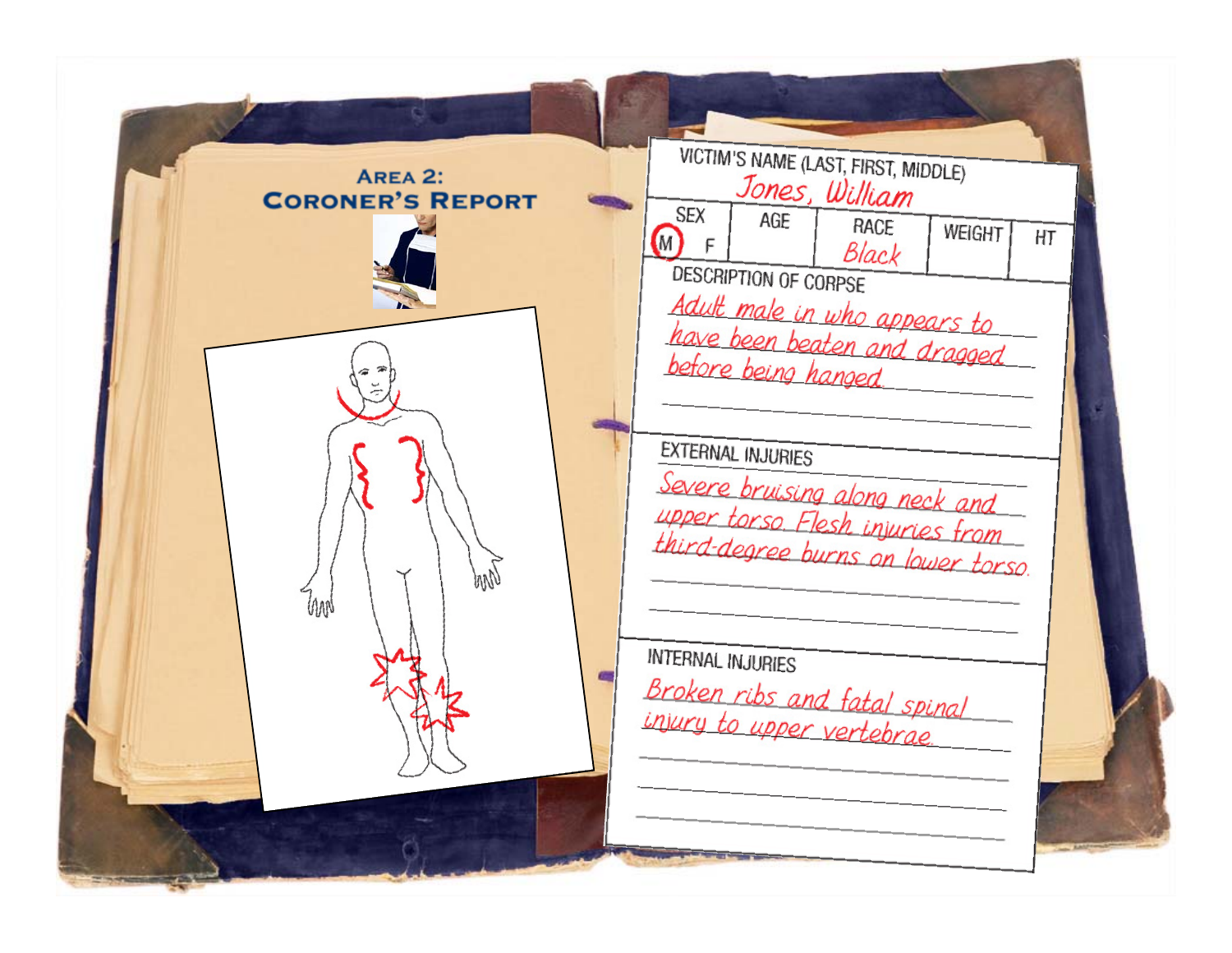